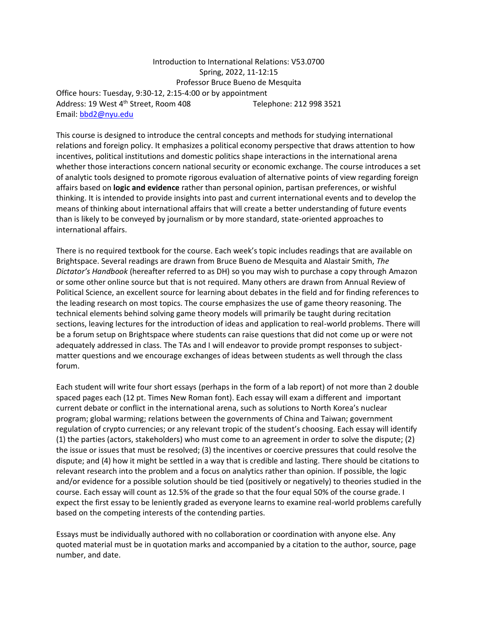Introduction to International Relations: V53.0700 Spring, 2022, 11-12:15 Professor Bruce Bueno de Mesquita Office hours: Tuesday, 9:30-12, 2:15-4:00 or by appointment Address: 19 West 4<sup>th</sup> Street, Room 408 Telephone: 212 998 3521 Email: [bbd2@nyu.edu](mailto:bbd2@nyu.edu)

This course is designed to introduce the central concepts and methods for studying international relations and foreign policy. It emphasizes a political economy perspective that draws attention to how incentives, political institutions and domestic politics shape interactions in the international arena whether those interactions concern national security or economic exchange. The course introduces a set of analytic tools designed to promote rigorous evaluation of alternative points of view regarding foreign affairs based on **logic and evidence** rather than personal opinion, partisan preferences, or wishful thinking. It is intended to provide insights into past and current international events and to develop the means of thinking about international affairs that will create a better understanding of future events than is likely to be conveyed by journalism or by more standard, state-oriented approaches to international affairs.

There is no required textbook for the course. Each week's topic includes readings that are available on Brightspace. Several readings are drawn from Bruce Bueno de Mesquita and Alastair Smith, *The Dictator's Handbook* (hereafter referred to as DH) so you may wish to purchase a copy through Amazon or some other online source but that is not required. Many others are drawn from Annual Review of Political Science, an excellent source for learning about debates in the field and for finding references to the leading research on most topics. The course emphasizes the use of game theory reasoning. The technical elements behind solving game theory models will primarily be taught during recitation sections, leaving lectures for the introduction of ideas and application to real-world problems. There will be a forum setup on Brightspace where students can raise questions that did not come up or were not adequately addressed in class. The TAs and I will endeavor to provide prompt responses to subjectmatter questions and we encourage exchanges of ideas between students as well through the class forum.

Each student will write four short essays (perhaps in the form of a lab report) of not more than 2 double spaced pages each (12 pt. Times New Roman font). Each essay will exam a different and important current debate or conflict in the international arena, such as solutions to North Korea's nuclear program; global warming; relations between the governments of China and Taiwan; government regulation of crypto currencies; or any relevant tropic of the student's choosing. Each essay will identify (1) the parties (actors, stakeholders) who must come to an agreement in order to solve the dispute; (2) the issue or issues that must be resolved; (3) the incentives or coercive pressures that could resolve the dispute; and (4) how it might be settled in a way that is credible and lasting. There should be citations to relevant research into the problem and a focus on analytics rather than opinion. If possible, the logic and/or evidence for a possible solution should be tied (positively or negatively) to theories studied in the course. Each essay will count as 12.5% of the grade so that the four equal 50% of the course grade. I expect the first essay to be leniently graded as everyone learns to examine real-world problems carefully based on the competing interests of the contending parties.

Essays must be individually authored with no collaboration or coordination with anyone else. Any quoted material must be in quotation marks and accompanied by a citation to the author, source, page number, and date.